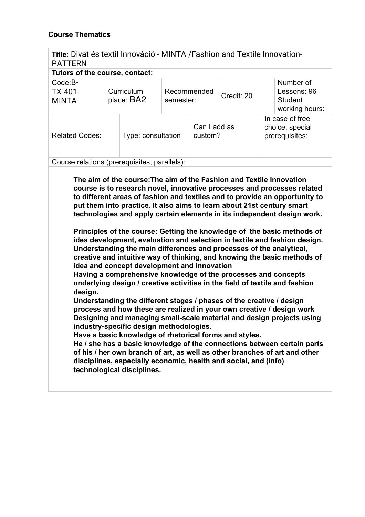## **Course Thematics**

| Title: Divat és textil Innováció - MINTA / Fashion and Textile Innovation-<br><b>PATTERN</b> |  |                          |                          |                         |            |                                                      |                                                              |
|----------------------------------------------------------------------------------------------|--|--------------------------|--------------------------|-------------------------|------------|------------------------------------------------------|--------------------------------------------------------------|
| Tutors of the course, contact:                                                               |  |                          |                          |                         |            |                                                      |                                                              |
| $Code:B-$<br>TX-401-<br><b>MINTA</b>                                                         |  | Curriculum<br>place: BA2 | Recommended<br>semester: |                         | Credit: 20 |                                                      | Number of<br>Lessons: 96<br><b>Student</b><br>working hours: |
| <b>Related Codes:</b>                                                                        |  | Type: consultation       |                          | Can I add as<br>custom? |            | In case of free<br>choice, special<br>prerequisites: |                                                              |
| Course relations (prerequisites, parallels):                                                 |  |                          |                          |                         |            |                                                      |                                                              |

**The aim of the course:The aim of the Fashion and Textile Innovation course is to research novel, innovative processes and processes related to different areas of fashion and textiles and to provide an opportunity to put them into practice. It also aims to learn about 21st century smart technologies and apply certain elements in its independent design work.** 

**Principles of the course: Getting the knowledge of the basic methods of idea development, evaluation and selection in textile and fashion design. Understanding the main differences and processes of the analytical, creative and intuitive way of thinking, and knowing the basic methods of idea and concept development and innovation**

**Having a comprehensive knowledge of the processes and concepts underlying design / creative activities in the field of textile and fashion design.**

**Understanding the different stages / phases of the creative / design process and how these are realized in your own creative / design work Designing and managing small-scale material and design projects using industry-specific design methodologies.**

**Have a basic knowledge of rhetorical forms and styles.**

**He / she has a basic knowledge of the connections between certain parts of his / her own branch of art, as well as other branches of art and other disciplines, especially economic, health and social, and (info) technological disciplines.**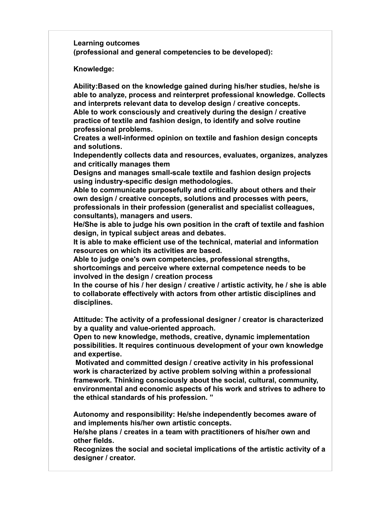**Learning outcomes (professional and general competencies to be developed):**

**Knowledge:**

**Ability:Based on the knowledge gained during his/her studies, he/she is able to analyze, process and reinterpret professional knowledge. Collects and interprets relevant data to develop design / creative concepts. Able to work consciously and creatively during the design / creative practice of textile and fashion design, to identify and solve routine professional problems.**

**Creates a well-informed opinion on textile and fashion design concepts and solutions.**

**Independently collects data and resources, evaluates, organizes, analyzes and critically manages them**

**Designs and manages small-scale textile and fashion design projects using industry-specific design methodologies.**

**Able to communicate purposefully and critically about others and their own design / creative concepts, solutions and processes with peers, professionals in their profession (generalist and specialist colleagues, consultants), managers and users.**

**He/She is able to judge his own position in the craft of textile and fashion design, in typical subject areas and debates.**

**It is able to make efficient use of the technical, material and information resources on which its activities are based.**

**Able to judge one's own competencies, professional strengths, shortcomings and perceive where external competence needs to be involved in the design / creation process**

**In the course of his / her design / creative / artistic activity, he / she is able to collaborate effectively with actors from other artistic disciplines and disciplines.**

**Attitude: The activity of a professional designer / creator is characterized by a quality and value-oriented approach.**

**Open to new knowledge, methods, creative, dynamic implementation possibilities. It requires continuous development of your own knowledge and expertise.**

 **Motivated and committed design / creative activity in his professional work is characterized by active problem solving within a professional framework. Thinking consciously about the social, cultural, community, environmental and economic aspects of his work and strives to adhere to the ethical standards of his profession. "**

**Autonomy and responsibility: He/she independently becomes aware of and implements his/her own artistic concepts.**

**He/she plans / creates in a team with practitioners of his/her own and other fields.**

**Recognizes the social and societal implications of the artistic activity of a designer / creator.**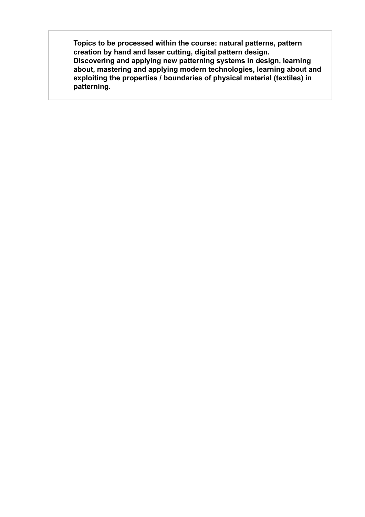**Topics to be processed within the course: natural patterns, pattern creation by hand and laser cutting, digital pattern design. Discovering and applying new patterning systems in design, learning about, mastering and applying modern technologies, learning about and exploiting the properties / boundaries of physical material (textiles) in patterning.**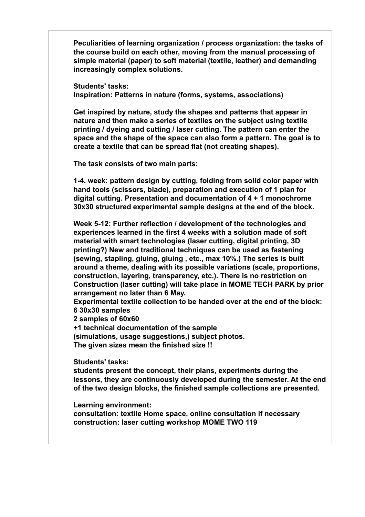**Peculiarities of learning organization / process organization: the tasks of the course build on each other, moving from the manual processing of simple material (paper) to soft material (textile, leather) and demanding increasingly complex solutions.**

**Students' tasks: Inspiration: Patterns in nature (forms, systems, associations)**

**Get inspired by nature, study the shapes and patterns that appear in nature and then make a series of textiles on the subject using textile printing / dyeing and cutting / laser cutting. The pattern can enter the space and the shape of the space can also form a pattern. The goal is to create a textile that can be spread flat (not creating shapes).**

**The task consists of two main parts:**

**1-4. week: pattern design by cutting, folding from solid color paper with hand tools (scissors, blade), preparation and execution of 1 plan for digital cutting. Presentation and documentation of 4 + 1 monochrome 30x30 structured experimental sample designs at the end of the block.**

**Week 5-12: Further reflection / development of the technologies and experiences learned in the first 4 weeks with a solution made of soft material with smart technologies (laser cutting, digital printing, 3D printing?) New and traditional techniques can be used as fastening (sewing, stapling, gluing, gluing , etc., max 10%.) The series is built around a theme, dealing with its possible variations (scale, proportions, construction, layering, transparency, etc.). There is no restriction on Construction (laser cutting) will take place in MOME TECH PARK by prior arrangement no later than 6 May.**

**Experimental textile collection to be handed over at the end of the block: 6 30x30 samples**

**2 samples of 60x60**

**+1 technical documentation of the sample**

**(simulations, usage suggestions,) subject photos.**

**The given sizes mean the finished size !!**

**Students' tasks:**

**students present the concept, their plans, experiments during the lessons, they are continuously developed during the semester. At the end of the two design blocks, the finished sample collections are presented.**

**Learning environment:**

**consultation: textile Home space, online consultation if necessary construction: laser cutting workshop MOME TWO 119**